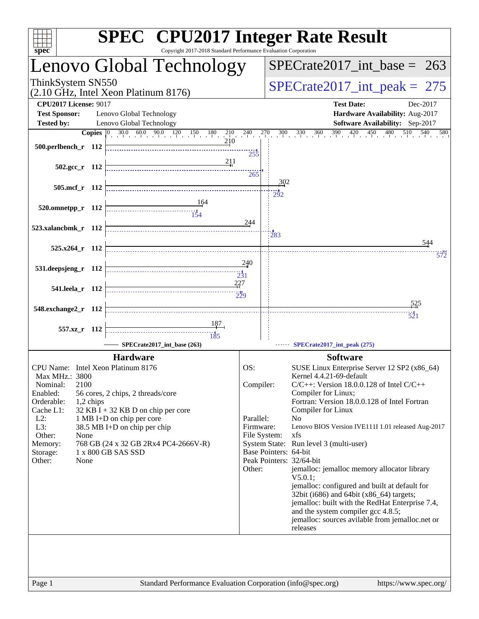| $spec^*$                                                                                                                                                                                                 | <b>SPEC<sup>®</sup></b> CPU2017 Integer Rate Result<br>Copyright 2017-2018 Standard Performance Evaluation Corporation                                                                                                  |                                                      |                                                                                                                                                                                                                                                                                                                                                                                                                                                                                                                                                                                                                                                                                                                                                           |
|----------------------------------------------------------------------------------------------------------------------------------------------------------------------------------------------------------|-------------------------------------------------------------------------------------------------------------------------------------------------------------------------------------------------------------------------|------------------------------------------------------|-----------------------------------------------------------------------------------------------------------------------------------------------------------------------------------------------------------------------------------------------------------------------------------------------------------------------------------------------------------------------------------------------------------------------------------------------------------------------------------------------------------------------------------------------------------------------------------------------------------------------------------------------------------------------------------------------------------------------------------------------------------|
|                                                                                                                                                                                                          | Lenovo Global Technology                                                                                                                                                                                                |                                                      | $SPECTate2017\_int\_base = 263$                                                                                                                                                                                                                                                                                                                                                                                                                                                                                                                                                                                                                                                                                                                           |
| ThinkSystem SN550                                                                                                                                                                                        | (2.10 GHz, Intel Xeon Platinum 8176)                                                                                                                                                                                    |                                                      | $SPECrate2017\_int\_peak = 275$                                                                                                                                                                                                                                                                                                                                                                                                                                                                                                                                                                                                                                                                                                                           |
| <b>CPU2017 License: 9017</b><br><b>Test Sponsor:</b>                                                                                                                                                     | Lenovo Global Technology                                                                                                                                                                                                |                                                      | <b>Test Date:</b><br>Dec-2017<br>Hardware Availability: Aug-2017                                                                                                                                                                                                                                                                                                                                                                                                                                                                                                                                                                                                                                                                                          |
| <b>Tested by:</b>                                                                                                                                                                                        | Lenovo Global Technology                                                                                                                                                                                                |                                                      | Software Availability: Sep-2017                                                                                                                                                                                                                                                                                                                                                                                                                                                                                                                                                                                                                                                                                                                           |
| 500.perlbench_r 112                                                                                                                                                                                      | <b>Copies</b> $\begin{bmatrix} 0 & 30.0 & 60.0 & 90.0 & 120 & 150 & 180 & 210 & 240 \end{bmatrix}$                                                                                                                      | 255                                                  | $\frac{270}{1}$ $\frac{300}{1}$ $\frac{330}{1}$ $\frac{360}{1}$ $\frac{390}{1}$ $\frac{420}{1}$ $\frac{450}{1}$ $\frac{480}{1}$ $\frac{510}{1}$ $\frac{540}{1}$<br>580                                                                                                                                                                                                                                                                                                                                                                                                                                                                                                                                                                                    |
| $502.\text{gcc r}$ 112                                                                                                                                                                                   | 211                                                                                                                                                                                                                     | 265                                                  |                                                                                                                                                                                                                                                                                                                                                                                                                                                                                                                                                                                                                                                                                                                                                           |
| 505.mcf_r 112                                                                                                                                                                                            |                                                                                                                                                                                                                         |                                                      | 302                                                                                                                                                                                                                                                                                                                                                                                                                                                                                                                                                                                                                                                                                                                                                       |
| $520.0$ mnetpp_r 112                                                                                                                                                                                     | 164<br>$\frac{1}{154}$                                                                                                                                                                                                  | 244                                                  | 292                                                                                                                                                                                                                                                                                                                                                                                                                                                                                                                                                                                                                                                                                                                                                       |
| 523.xalancbmk_r 112                                                                                                                                                                                      |                                                                                                                                                                                                                         |                                                      | 283<br>544                                                                                                                                                                                                                                                                                                                                                                                                                                                                                                                                                                                                                                                                                                                                                |
| $525.x264$ r 112                                                                                                                                                                                         |                                                                                                                                                                                                                         |                                                      | 572                                                                                                                                                                                                                                                                                                                                                                                                                                                                                                                                                                                                                                                                                                                                                       |
| 531.deepsjeng_r 112                                                                                                                                                                                      | 227                                                                                                                                                                                                                     | 240<br>$\frac{1}{231}$                               |                                                                                                                                                                                                                                                                                                                                                                                                                                                                                                                                                                                                                                                                                                                                                           |
| 541.leela_r 112                                                                                                                                                                                          |                                                                                                                                                                                                                         | 229                                                  |                                                                                                                                                                                                                                                                                                                                                                                                                                                                                                                                                                                                                                                                                                                                                           |
| 548.exchange2_r 112                                                                                                                                                                                      |                                                                                                                                                                                                                         |                                                      | $\frac{1}{521}$                                                                                                                                                                                                                                                                                                                                                                                                                                                                                                                                                                                                                                                                                                                                           |
| 557.xz_r 112                                                                                                                                                                                             | <u>187, </u><br>$\frac{11}{185}$                                                                                                                                                                                        |                                                      |                                                                                                                                                                                                                                                                                                                                                                                                                                                                                                                                                                                                                                                                                                                                                           |
|                                                                                                                                                                                                          | SPECrate2017 int base (263)                                                                                                                                                                                             |                                                      | SPECrate2017_int_peak (275)                                                                                                                                                                                                                                                                                                                                                                                                                                                                                                                                                                                                                                                                                                                               |
|                                                                                                                                                                                                          |                                                                                                                                                                                                                         |                                                      |                                                                                                                                                                                                                                                                                                                                                                                                                                                                                                                                                                                                                                                                                                                                                           |
| CPU Name: Intel Xeon Platinum 8176<br>Max MHz.: 3800<br>2100<br>Nominal:<br>Enabled:<br>Orderable:<br>1,2 chips<br>Cache L1:<br>$L2$ :<br>L3:<br>Other:<br>None<br>Memory:<br>Storage:<br>Other:<br>None | <b>Hardware</b><br>56 cores, 2 chips, 2 threads/core<br>$32$ KB I + 32 KB D on chip per core<br>1 MB I+D on chip per core<br>38.5 MB I+D on chip per chip<br>768 GB (24 x 32 GB 2Rx4 PC4-2666V-R)<br>1 x 800 GB SAS SSD | OS:<br>Compiler:<br>Parallel:<br>Firmware:<br>Other: | <b>Software</b><br>SUSE Linux Enterprise Server 12 SP2 (x86_64)<br>Kernel 4.4.21-69-default<br>$C/C++$ : Version 18.0.0.128 of Intel $C/C++$<br>Compiler for Linux;<br>Fortran: Version 18.0.0.128 of Intel Fortran<br>Compiler for Linux<br>N <sub>0</sub><br>Lenovo BIOS Version IVE111I 1.01 released Aug-2017<br>File System:<br>xfs<br>System State: Run level 3 (multi-user)<br>Base Pointers: 64-bit<br>Peak Pointers: 32/64-bit<br>jemalloc: jemalloc memory allocator library<br>$V5.0.1$ :<br>jemalloc: configured and built at default for<br>32bit (i686) and 64bit (x86_64) targets;<br>jemalloc: built with the RedHat Enterprise 7.4,<br>and the system compiler gcc 4.8.5;<br>jemalloc: sources avilable from jemalloc.net or<br>releases |
|                                                                                                                                                                                                          |                                                                                                                                                                                                                         |                                                      |                                                                                                                                                                                                                                                                                                                                                                                                                                                                                                                                                                                                                                                                                                                                                           |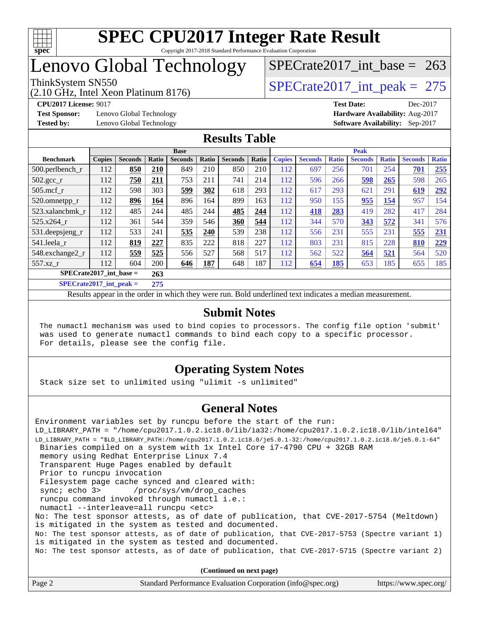

### Lenovo Global Technology

(2.10 GHz, Intel Xeon Platinum 8176)

**[CPU2017 License:](http://www.spec.org/auto/cpu2017/Docs/result-fields.html#CPU2017License)** 9017 **[Test Date:](http://www.spec.org/auto/cpu2017/Docs/result-fields.html#TestDate)** Dec-2017

**[Test Sponsor:](http://www.spec.org/auto/cpu2017/Docs/result-fields.html#TestSponsor)** Lenovo Global Technology **[Hardware Availability:](http://www.spec.org/auto/cpu2017/Docs/result-fields.html#HardwareAvailability)** Aug-2017

[SPECrate2017\\_int\\_base =](http://www.spec.org/auto/cpu2017/Docs/result-fields.html#SPECrate2017intbase) 263

ThinkSystem SN550<br>  $\angle (2.10 \text{ GHz. Intel Yoon Plotinum } 8176)$  [SPECrate2017\\_int\\_peak =](http://www.spec.org/auto/cpu2017/Docs/result-fields.html#SPECrate2017intpeak) 275

**[Tested by:](http://www.spec.org/auto/cpu2017/Docs/result-fields.html#Testedby)** Lenovo Global Technology **[Software Availability:](http://www.spec.org/auto/cpu2017/Docs/result-fields.html#SoftwareAvailability)** Sep-2017

### **[Results Table](http://www.spec.org/auto/cpu2017/Docs/result-fields.html#ResultsTable)**

|                           |               |                |       | <b>Base</b>    |       |                |       | <b>Peak</b>   |                |              |                |              |                |              |
|---------------------------|---------------|----------------|-------|----------------|-------|----------------|-------|---------------|----------------|--------------|----------------|--------------|----------------|--------------|
| <b>Benchmark</b>          | <b>Copies</b> | <b>Seconds</b> | Ratio | <b>Seconds</b> | Ratio | <b>Seconds</b> | Ratio | <b>Copies</b> | <b>Seconds</b> | <b>Ratio</b> | <b>Seconds</b> | <b>Ratio</b> | <b>Seconds</b> | <b>Ratio</b> |
| 500.perlbench_r           | 112           | 850            | 210   | 849            | 210   | 850            | 210   | 112           | 697            | 256          | 701            | 254          | 701            | 255          |
| $502.\text{gcc}$ _r       | 112           | 750            | 211   | 753            | 211   | 741            | 214   | 112           | 596            | 266          | 598            | 265          | 598            | 265          |
| $505$ .mcf r              | 112           | 598            | 303   | 599            | 302   | 618            | 293   | 112           | 617            | 293          | 621            | 291          | 619            | 292          |
| 520.omnetpp_r             | 112           | 896            | 164   | 896            | 164   | 899            | 163   | 112           | 950            | 155          | 955            | <u>154</u>   | 957            | 154          |
| 523.xalancbmk r           | 112           | 485            | 244   | 485            | 244   | 485            | 244   | 112           | 418            | 283          | 419            | 282          | 417            | 284          |
| 525.x264 r                | 112           | 361            | 544   | 359            | 546   | 360            | 544   | 112           | 344            | 570          | 343            | 572          | 341            | 576          |
| 531.deepsjeng_r           | 112           | 533            | 241   | 535            | 240   | 539            | 238   | 112           | 556            | 231          | 555            | 231          | 555            | 231          |
| 541.leela r               | 112           | 819            | 227   | 835            | 222   | 818            | 227   | 112           | 803            | 231          | 815            | 228          | 810            | 229          |
| 548.exchange2_r           | 112           | 559            | 525   | 556            | 527   | 568            | 517   | 112           | 562            | 522          | 564            | 521          | 564            | 520          |
| 557.xz r                  | 112           | 604            | 200   | 646            | 187   | 648            | 187   | 112           | 654            | 185          | 653            | 185          | 655            | 185          |
| $SPECrate2017$ int base = |               |                | 263   |                |       |                |       |               |                |              |                |              |                |              |
| $SPECrate2017$ int peak = |               |                | 275   |                |       |                |       |               |                |              |                |              |                |              |

Results appear in the [order in which they were run](http://www.spec.org/auto/cpu2017/Docs/result-fields.html#RunOrder). Bold underlined text [indicates a median measurement](http://www.spec.org/auto/cpu2017/Docs/result-fields.html#Median).

#### **[Submit Notes](http://www.spec.org/auto/cpu2017/Docs/result-fields.html#SubmitNotes)**

 The numactl mechanism was used to bind copies to processors. The config file option 'submit' was used to generate numactl commands to bind each copy to a specific processor. For details, please see the config file.

### **[Operating System Notes](http://www.spec.org/auto/cpu2017/Docs/result-fields.html#OperatingSystemNotes)**

Stack size set to unlimited using "ulimit -s unlimited"

### **[General Notes](http://www.spec.org/auto/cpu2017/Docs/result-fields.html#GeneralNotes)**

Environment variables set by runcpu before the start of the run: LD\_LIBRARY\_PATH = "/home/cpu2017.1.0.2.ic18.0/lib/ia32:/home/cpu2017.1.0.2.ic18.0/lib/intel64" LD\_LIBRARY\_PATH = "\$LD\_LIBRARY\_PATH:/home/cpu2017.1.0.2.ic18.0/je5.0.1-32:/home/cpu2017.1.0.2.ic18.0/je5.0.1-64" Binaries compiled on a system with 1x Intel Core i7-4790 CPU + 32GB RAM memory using Redhat Enterprise Linux 7.4 Transparent Huge Pages enabled by default Prior to runcpu invocation Filesystem page cache synced and cleared with: sync; echo 3> /proc/sys/vm/drop\_caches runcpu command invoked through numactl i.e.: numactl --interleave=all runcpu <etc> No: The test sponsor attests, as of date of publication, that CVE-2017-5754 (Meltdown) is mitigated in the system as tested and documented. No: The test sponsor attests, as of date of publication, that CVE-2017-5753 (Spectre variant 1) is mitigated in the system as tested and documented. No: The test sponsor attests, as of date of publication, that CVE-2017-5715 (Spectre variant 2)

**(Continued on next page)**

| Page 2 | Standard Performance Evaluation Corporation (info@spec.org) | https://www.spec.org/ |
|--------|-------------------------------------------------------------|-----------------------|
|--------|-------------------------------------------------------------|-----------------------|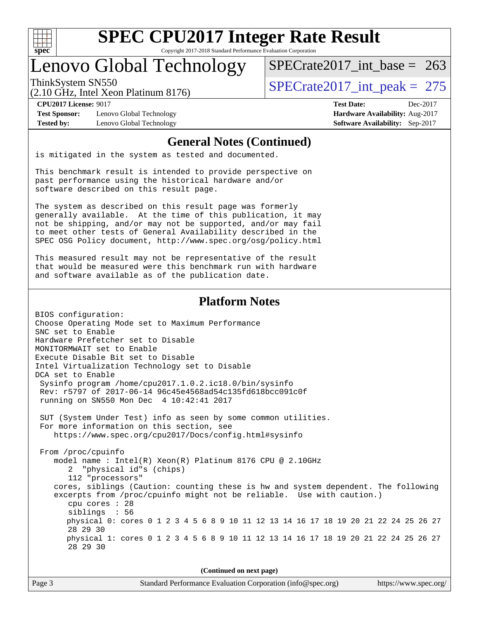

# **[SPEC CPU2017 Integer Rate Result](http://www.spec.org/auto/cpu2017/Docs/result-fields.html#SPECCPU2017IntegerRateResult)**

Copyright 2017-2018 Standard Performance Evaluation Corporation

### Lenovo Global Technology

ThinkSystem SN550<br>  $\angle (2.10 \text{ GHz. Intel Yoon Plotinum } 8176)$  [SPECrate2017\\_int\\_peak =](http://www.spec.org/auto/cpu2017/Docs/result-fields.html#SPECrate2017intpeak) 275 [SPECrate2017\\_int\\_base =](http://www.spec.org/auto/cpu2017/Docs/result-fields.html#SPECrate2017intbase) 263

(2.10 GHz, Intel Xeon Platinum 8176)

**[Test Sponsor:](http://www.spec.org/auto/cpu2017/Docs/result-fields.html#TestSponsor)** Lenovo Global Technology **[Hardware Availability:](http://www.spec.org/auto/cpu2017/Docs/result-fields.html#HardwareAvailability)** Aug-2017 **[Tested by:](http://www.spec.org/auto/cpu2017/Docs/result-fields.html#Testedby)** Lenovo Global Technology **[Software Availability:](http://www.spec.org/auto/cpu2017/Docs/result-fields.html#SoftwareAvailability)** Sep-2017

**[CPU2017 License:](http://www.spec.org/auto/cpu2017/Docs/result-fields.html#CPU2017License)** 9017 **[Test Date:](http://www.spec.org/auto/cpu2017/Docs/result-fields.html#TestDate)** Dec-2017

#### **[General Notes \(Continued\)](http://www.spec.org/auto/cpu2017/Docs/result-fields.html#GeneralNotes)**

is mitigated in the system as tested and documented.

This benchmark result is intended to provide perspective on past performance using the historical hardware and/or software described on this result page.

The system as described on this result page was formerly generally available. At the time of this publication, it may not be shipping, and/or may not be supported, and/or may fail to meet other tests of General Availability described in the SPEC OSG Policy document, <http://www.spec.org/osg/policy.html>

This measured result may not be representative of the result that would be measured were this benchmark run with hardware and software available as of the publication date.

### **[Platform Notes](http://www.spec.org/auto/cpu2017/Docs/result-fields.html#PlatformNotes)**

BIOS configuration: Choose Operating Mode set to Maximum Performance SNC set to Enable Hardware Prefetcher set to Disable MONITORMWAIT set to Enable Execute Disable Bit set to Disable Intel Virtualization Technology set to Disable DCA set to Enable Sysinfo program /home/cpu2017.1.0.2.ic18.0/bin/sysinfo Rev: r5797 of 2017-06-14 96c45e4568ad54c135fd618bcc091c0f running on SN550 Mon Dec 4 10:42:41 2017 SUT (System Under Test) info as seen by some common utilities. For more information on this section, see <https://www.spec.org/cpu2017/Docs/config.html#sysinfo> From /proc/cpuinfo model name : Intel(R) Xeon(R) Platinum 8176 CPU @ 2.10GHz 2 "physical id"s (chips) 112 "processors" cores, siblings (Caution: counting these is hw and system dependent. The following excerpts from /proc/cpuinfo might not be reliable. Use with caution.) cpu cores : 28 siblings : 56 physical 0: cores 0 1 2 3 4 5 6 8 9 10 11 12 13 14 16 17 18 19 20 21 22 24 25 26 27 28 29 30 physical 1: cores 0 1 2 3 4 5 6 8 9 10 11 12 13 14 16 17 18 19 20 21 22 24 25 26 27 28 29 30

**(Continued on next page)**

| Page 3 | Standard Performance Evaluation Corporation (info@spec.org) | https://www.spec.org/ |
|--------|-------------------------------------------------------------|-----------------------|
|--------|-------------------------------------------------------------|-----------------------|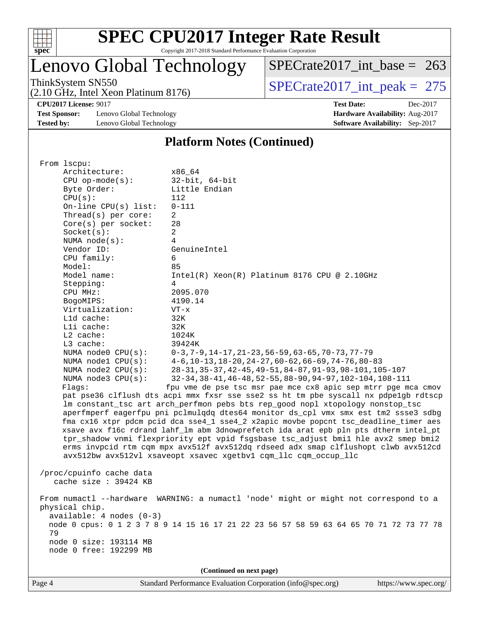

# Lenovo Global Technology

ThinkSystem SN550<br>  $(2.10 \text{ GHz})$  Intel Xeon Platinum 8176) [SPECrate2017\\_int\\_peak =](http://www.spec.org/auto/cpu2017/Docs/result-fields.html#SPECrate2017intpeak) 275 [SPECrate2017\\_int\\_base =](http://www.spec.org/auto/cpu2017/Docs/result-fields.html#SPECrate2017intbase) 263

(2.10 GHz, Intel Xeon Platinum 8176)

**[Test Sponsor:](http://www.spec.org/auto/cpu2017/Docs/result-fields.html#TestSponsor)** Lenovo Global Technology **[Hardware Availability:](http://www.spec.org/auto/cpu2017/Docs/result-fields.html#HardwareAvailability)** Aug-2017 **[Tested by:](http://www.spec.org/auto/cpu2017/Docs/result-fields.html#Testedby)** Lenovo Global Technology **[Software Availability:](http://www.spec.org/auto/cpu2017/Docs/result-fields.html#SoftwareAvailability)** Sep-2017

**[CPU2017 License:](http://www.spec.org/auto/cpu2017/Docs/result-fields.html#CPU2017License)** 9017 **[Test Date:](http://www.spec.org/auto/cpu2017/Docs/result-fields.html#TestDate)** Dec-2017

#### **[Platform Notes \(Continued\)](http://www.spec.org/auto/cpu2017/Docs/result-fields.html#PlatformNotes)**

| From 1scpu:                |                                                                                        |
|----------------------------|----------------------------------------------------------------------------------------|
| Architecture:              | x86_64                                                                                 |
| $CPU$ op-mode( $s$ ):      | $32$ -bit, $64$ -bit                                                                   |
| Byte Order:                | Little Endian                                                                          |
|                            | 112                                                                                    |
| CPU(s):                    |                                                                                        |
| On-line CPU(s) list:       | $0 - 111$                                                                              |
| Thread(s) per core:        | 2                                                                                      |
| Core(s) per socket:        | 28                                                                                     |
| Socket(s):                 | 2                                                                                      |
| NUMA $node(s):$            | $\overline{4}$                                                                         |
| Vendor ID:                 | GenuineIntel                                                                           |
| CPU family:                | 6                                                                                      |
| Model:                     | 85                                                                                     |
| Model name:                | $Intel(R) Xeon(R) Platinum 8176 CPU @ 2.10GHz$                                         |
| Stepping:                  | 4                                                                                      |
| CPU MHz:                   | 2095.070                                                                               |
| BogoMIPS:                  | 4190.14                                                                                |
| Virtualization:            | $VT - x$                                                                               |
| L1d cache:                 | 32K                                                                                    |
| Lli cache:                 | 32K                                                                                    |
| $L2$ cache:                | 1024K                                                                                  |
| L3 cache:                  | 39424K                                                                                 |
| NUMA node0 CPU(s):         | $0-3, 7-9, 14-17, 21-23, 56-59, 63-65, 70-73, 77-79$                                   |
| NUMA nodel CPU(s):         | $4-6$ , 10-13, 18-20, 24-27, 60-62, 66-69, 74-76, 80-83                                |
| NUMA $node2$ $CPU(s):$     | 28-31, 35-37, 42-45, 49-51, 84-87, 91-93, 98-101, 105-107                              |
| NUMA $node3$ $CPU(s):$     | 32-34, 38-41, 46-48, 52-55, 88-90, 94-97, 102-104, 108-111                             |
| Flaqs:                     | fpu vme de pse tsc msr pae mce cx8 apic sep mtrr pge mca cmov                          |
|                            | pat pse36 clflush dts acpi mmx fxsr sse sse2 ss ht tm pbe syscall nx pdpelgb rdtscp    |
|                            |                                                                                        |
|                            | lm constant_tsc art arch_perfmon pebs bts rep_good nopl xtopology nonstop_tsc          |
|                            | aperfmperf eagerfpu pni pclmulqdq dtes64 monitor ds_cpl vmx smx est tm2 ssse3 sdbg     |
|                            | fma cx16 xtpr pdcm pcid dca sse4_1 sse4_2 x2apic movbe popcnt tsc_deadline_timer aes   |
|                            | xsave avx f16c rdrand lahf_lm abm 3dnowprefetch ida arat epb pln pts dtherm intel_pt   |
|                            | tpr_shadow vnmi flexpriority ept vpid fsgsbase tsc_adjust bmil hle avx2 smep bmi2      |
|                            | erms invpcid rtm cqm mpx avx512f avx512dq rdseed adx smap clflushopt clwb avx512cd     |
|                            | avx512bw avx512vl xsaveopt xsavec xgetbvl cqm_llc cqm_occup_llc                        |
|                            |                                                                                        |
| /proc/cpuinfo cache data   |                                                                                        |
| cache size $: 39424$ KB    |                                                                                        |
|                            |                                                                                        |
|                            | From numactl --hardware WARNING: a numactl 'node' might or might not correspond to a   |
| physical chip.             |                                                                                        |
| $available: 4 nodes (0-3)$ |                                                                                        |
|                            | node 0 cpus: 0 1 2 3 7 8 9 14 15 16 17 21 22 23 56 57 58 59 63 64 65 70 71 72 73 77 78 |
| 79                         |                                                                                        |
| node 0 size: 193114 MB     |                                                                                        |
| node 0 free: 192299 MB     |                                                                                        |
|                            |                                                                                        |
|                            | (Continued on next page)                                                               |
|                            |                                                                                        |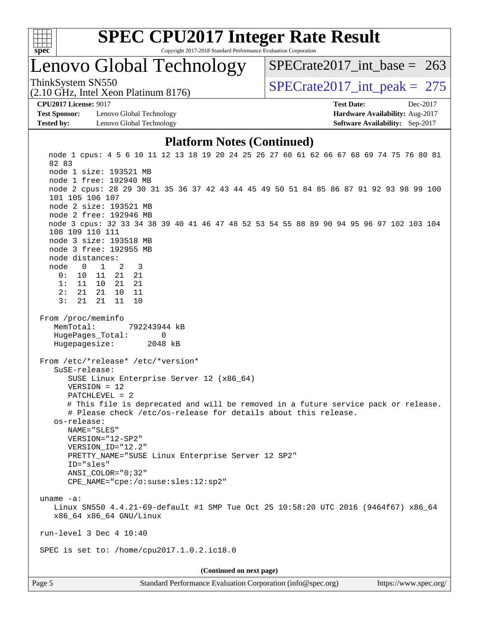

### Lenovo Global Technology

ThinkSystem SN550<br>  $\angle (2.10 \text{ GHz. Intel Yoon Plutium } 8176)$   $\angle$  [SPECrate2017\\_int\\_peak =](http://www.spec.org/auto/cpu2017/Docs/result-fields.html#SPECrate2017intpeak) 275 [SPECrate2017\\_int\\_base =](http://www.spec.org/auto/cpu2017/Docs/result-fields.html#SPECrate2017intbase) 263

(2.10 GHz, Intel Xeon Platinum 8176)

**[Test Sponsor:](http://www.spec.org/auto/cpu2017/Docs/result-fields.html#TestSponsor)** Lenovo Global Technology **[Hardware Availability:](http://www.spec.org/auto/cpu2017/Docs/result-fields.html#HardwareAvailability)** Aug-2017 **[Tested by:](http://www.spec.org/auto/cpu2017/Docs/result-fields.html#Testedby)** Lenovo Global Technology **[Software Availability:](http://www.spec.org/auto/cpu2017/Docs/result-fields.html#SoftwareAvailability)** Sep-2017

**[CPU2017 License:](http://www.spec.org/auto/cpu2017/Docs/result-fields.html#CPU2017License)** 9017 **[Test Date:](http://www.spec.org/auto/cpu2017/Docs/result-fields.html#TestDate)** Dec-2017

#### **[Platform Notes \(Continued\)](http://www.spec.org/auto/cpu2017/Docs/result-fields.html#PlatformNotes)**

Page 5 Standard Performance Evaluation Corporation [\(info@spec.org\)](mailto:info@spec.org) <https://www.spec.org/> node 1 cpus: 4 5 6 10 11 12 13 18 19 20 24 25 26 27 60 61 62 66 67 68 69 74 75 76 80 81 82 83 node 1 size: 193521 MB node 1 free: 192940 MB node 2 cpus: 28 29 30 31 35 36 37 42 43 44 45 49 50 51 84 85 86 87 91 92 93 98 99 100 101 105 106 107 node 2 size: 193521 MB node 2 free: 192946 MB node 3 cpus: 32 33 34 38 39 40 41 46 47 48 52 53 54 55 88 89 90 94 95 96 97 102 103 104 108 109 110 111 node 3 size: 193518 MB node 3 free: 192955 MB node distances: node 0 1 2 3 0: 10 11 21 21 1: 11 10 21 21 2: 21 21 10 11 3: 21 21 11 10 From /proc/meminfo MemTotal: 792243944 kB HugePages\_Total: 0 Hugepagesize: 2048 kB From /etc/\*release\* /etc/\*version\* SuSE-release: SUSE Linux Enterprise Server 12 (x86\_64) VERSION = 12 PATCHLEVEL = 2 # This file is deprecated and will be removed in a future service pack or release. # Please check /etc/os-release for details about this release. os-release: NAME="SLES" VERSION="12-SP2" VERSION\_ID="12.2" PRETTY NAME="SUSE Linux Enterprise Server 12 SP2" ID="sles" ANSI\_COLOR="0;32" CPE\_NAME="cpe:/o:suse:sles:12:sp2" uname -a: Linux SN550 4.4.21-69-default #1 SMP Tue Oct 25 10:58:20 UTC 2016 (9464f67) x86\_64 x86\_64 x86\_64 GNU/Linux run-level 3 Dec 4 10:40 SPEC is set to: /home/cpu2017.1.0.2.ic18.0 **(Continued on next page)**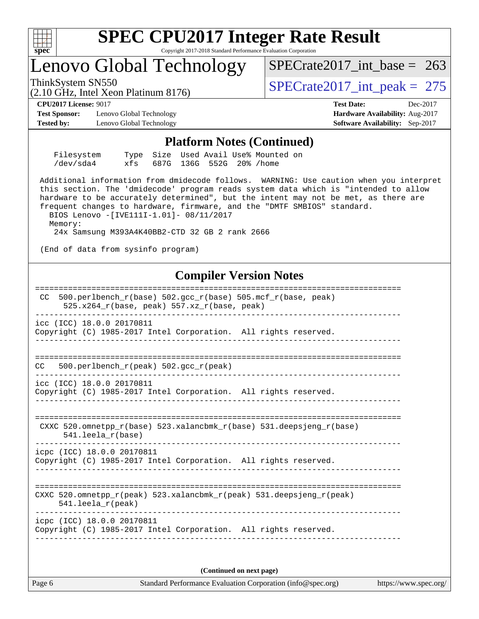

### Lenovo Global Technology

ThinkSystem SN550<br>(2.10 GHz, Intel Xeon Platinum 8176) [SPECrate2017\\_int\\_peak =](http://www.spec.org/auto/cpu2017/Docs/result-fields.html#SPECrate2017intpeak) 275

[SPECrate2017\\_int\\_base =](http://www.spec.org/auto/cpu2017/Docs/result-fields.html#SPECrate2017intbase) 263

**[Test Sponsor:](http://www.spec.org/auto/cpu2017/Docs/result-fields.html#TestSponsor)** Lenovo Global Technology **[Hardware Availability:](http://www.spec.org/auto/cpu2017/Docs/result-fields.html#HardwareAvailability)** Aug-2017 **[Tested by:](http://www.spec.org/auto/cpu2017/Docs/result-fields.html#Testedby)** Lenovo Global Technology **[Software Availability:](http://www.spec.org/auto/cpu2017/Docs/result-fields.html#SoftwareAvailability)** Sep-2017

(2.10 GHz, Intel Xeon Platinum 8176)

**[CPU2017 License:](http://www.spec.org/auto/cpu2017/Docs/result-fields.html#CPU2017License)** 9017 **[Test Date:](http://www.spec.org/auto/cpu2017/Docs/result-fields.html#TestDate)** Dec-2017

#### **[Platform Notes \(Continued\)](http://www.spec.org/auto/cpu2017/Docs/result-fields.html#PlatformNotes)**

| Filesystem |  |  | Type Size Used Avail Use% Mounted on |  |
|------------|--|--|--------------------------------------|--|
| /dev/sda4  |  |  | xfs 687G 136G 552G 20%/home          |  |

 Additional information from dmidecode follows. WARNING: Use caution when you interpret this section. The 'dmidecode' program reads system data which is "intended to allow hardware to be accurately determined", but the intent may not be met, as there are frequent changes to hardware, firmware, and the "DMTF SMBIOS" standard.

 BIOS Lenovo -[IVE111I-1.01]- 08/11/2017 Memory: 24x Samsung M393A4K40BB2-CTD 32 GB 2 rank 2666

(End of data from sysinfo program)

### **[Compiler Version Notes](http://www.spec.org/auto/cpu2017/Docs/result-fields.html#CompilerVersionNotes)**

| 500.perlbench $r(base)$ 502.qcc $r(base)$ 505.mcf $r(base, peak)$<br>CC.<br>$525.x264$ r(base, peak) 557.xz r(base, peak) |
|---------------------------------------------------------------------------------------------------------------------------|
| icc (ICC) 18.0.0 20170811<br>Copyright (C) 1985-2017 Intel Corporation. All rights reserved.                              |
| 500.perlbench_r(peak) 502.gcc_r(peak)<br>CC.                                                                              |
| icc (ICC) 18.0.0 20170811<br>Copyright (C) 1985-2017 Intel Corporation. All rights reserved.                              |
| CXXC 520.omnetpp $r(base)$ 523.xalancbmk $r(base)$ 531.deepsjeng $r(base)$<br>$541.$ leela $r(base)$                      |
| icpc (ICC) 18.0.0 20170811<br>Copyright (C) 1985-2017 Intel Corporation. All rights reserved.                             |
| CXXC 520.omnetpp $r(\text{peak})$ 523.xalancbmk $r(\text{peak})$ 531.deepsjeng $r(\text{peak})$<br>$541.$ leela_r(peak)   |
| icpc (ICC) 18.0.0 20170811<br>Copyright (C) 1985-2017 Intel Corporation. All rights reserved.                             |
|                                                                                                                           |

**(Continued on next page)**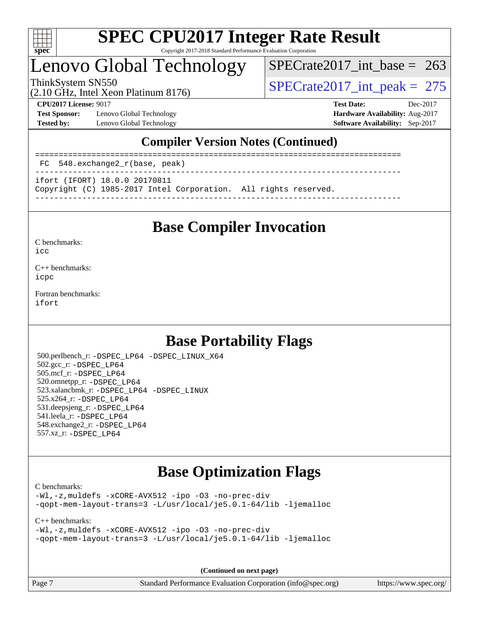

### Lenovo Global Technology

[SPECrate2017\\_int\\_base =](http://www.spec.org/auto/cpu2017/Docs/result-fields.html#SPECrate2017intbase) 263

(2.10 GHz, Intel Xeon Platinum 8176)

ThinkSystem SN550<br>  $\frac{10.047 \text{ J} \cdot \text{m/s}}{275 \text{ kg} \cdot \text{m}}$  Platinum 8176) [SPECrate2017\\_int\\_peak =](http://www.spec.org/auto/cpu2017/Docs/result-fields.html#SPECrate2017intpeak) 275

**[Test Sponsor:](http://www.spec.org/auto/cpu2017/Docs/result-fields.html#TestSponsor)** Lenovo Global Technology **[Hardware Availability:](http://www.spec.org/auto/cpu2017/Docs/result-fields.html#HardwareAvailability)** Aug-2017 **[Tested by:](http://www.spec.org/auto/cpu2017/Docs/result-fields.html#Testedby)** Lenovo Global Technology **[Software Availability:](http://www.spec.org/auto/cpu2017/Docs/result-fields.html#SoftwareAvailability)** Sep-2017

**[CPU2017 License:](http://www.spec.org/auto/cpu2017/Docs/result-fields.html#CPU2017License)** 9017 **[Test Date:](http://www.spec.org/auto/cpu2017/Docs/result-fields.html#TestDate)** Dec-2017

### **[Compiler Version Notes \(Continued\)](http://www.spec.org/auto/cpu2017/Docs/result-fields.html#CompilerVersionNotes)**

============================================================================== FC 548.exchange2\_r(base, peak) ------------------------------------------------------------------------------

ifort (IFORT) 18.0.0 20170811

Copyright (C) 1985-2017 Intel Corporation. All rights reserved.

------------------------------------------------------------------------------

### **[Base Compiler Invocation](http://www.spec.org/auto/cpu2017/Docs/result-fields.html#BaseCompilerInvocation)**

[C benchmarks](http://www.spec.org/auto/cpu2017/Docs/result-fields.html#Cbenchmarks):

[icc](http://www.spec.org/cpu2017/results/res2018q1/cpu2017-20180108-02585.flags.html#user_CCbase_intel_icc_18.0_66fc1ee009f7361af1fbd72ca7dcefbb700085f36577c54f309893dd4ec40d12360134090235512931783d35fd58c0460139e722d5067c5574d8eaf2b3e37e92)

[C++ benchmarks:](http://www.spec.org/auto/cpu2017/Docs/result-fields.html#CXXbenchmarks) [icpc](http://www.spec.org/cpu2017/results/res2018q1/cpu2017-20180108-02585.flags.html#user_CXXbase_intel_icpc_18.0_c510b6838c7f56d33e37e94d029a35b4a7bccf4766a728ee175e80a419847e808290a9b78be685c44ab727ea267ec2f070ec5dc83b407c0218cded6866a35d07)

[Fortran benchmarks](http://www.spec.org/auto/cpu2017/Docs/result-fields.html#Fortranbenchmarks): [ifort](http://www.spec.org/cpu2017/results/res2018q1/cpu2017-20180108-02585.flags.html#user_FCbase_intel_ifort_18.0_8111460550e3ca792625aed983ce982f94888b8b503583aa7ba2b8303487b4d8a21a13e7191a45c5fd58ff318f48f9492884d4413fa793fd88dd292cad7027ca)

### **[Base Portability Flags](http://www.spec.org/auto/cpu2017/Docs/result-fields.html#BasePortabilityFlags)**

 500.perlbench\_r: [-DSPEC\\_LP64](http://www.spec.org/cpu2017/results/res2018q1/cpu2017-20180108-02585.flags.html#b500.perlbench_r_basePORTABILITY_DSPEC_LP64) [-DSPEC\\_LINUX\\_X64](http://www.spec.org/cpu2017/results/res2018q1/cpu2017-20180108-02585.flags.html#b500.perlbench_r_baseCPORTABILITY_DSPEC_LINUX_X64) 502.gcc\_r: [-DSPEC\\_LP64](http://www.spec.org/cpu2017/results/res2018q1/cpu2017-20180108-02585.flags.html#suite_basePORTABILITY502_gcc_r_DSPEC_LP64) 505.mcf\_r: [-DSPEC\\_LP64](http://www.spec.org/cpu2017/results/res2018q1/cpu2017-20180108-02585.flags.html#suite_basePORTABILITY505_mcf_r_DSPEC_LP64) 520.omnetpp\_r: [-DSPEC\\_LP64](http://www.spec.org/cpu2017/results/res2018q1/cpu2017-20180108-02585.flags.html#suite_basePORTABILITY520_omnetpp_r_DSPEC_LP64) 523.xalancbmk\_r: [-DSPEC\\_LP64](http://www.spec.org/cpu2017/results/res2018q1/cpu2017-20180108-02585.flags.html#suite_basePORTABILITY523_xalancbmk_r_DSPEC_LP64) [-DSPEC\\_LINUX](http://www.spec.org/cpu2017/results/res2018q1/cpu2017-20180108-02585.flags.html#b523.xalancbmk_r_baseCXXPORTABILITY_DSPEC_LINUX) 525.x264\_r: [-DSPEC\\_LP64](http://www.spec.org/cpu2017/results/res2018q1/cpu2017-20180108-02585.flags.html#suite_basePORTABILITY525_x264_r_DSPEC_LP64) 531.deepsjeng\_r: [-DSPEC\\_LP64](http://www.spec.org/cpu2017/results/res2018q1/cpu2017-20180108-02585.flags.html#suite_basePORTABILITY531_deepsjeng_r_DSPEC_LP64) 541.leela\_r: [-DSPEC\\_LP64](http://www.spec.org/cpu2017/results/res2018q1/cpu2017-20180108-02585.flags.html#suite_basePORTABILITY541_leela_r_DSPEC_LP64) 548.exchange2\_r: [-DSPEC\\_LP64](http://www.spec.org/cpu2017/results/res2018q1/cpu2017-20180108-02585.flags.html#suite_basePORTABILITY548_exchange2_r_DSPEC_LP64) 557.xz\_r: [-DSPEC\\_LP64](http://www.spec.org/cpu2017/results/res2018q1/cpu2017-20180108-02585.flags.html#suite_basePORTABILITY557_xz_r_DSPEC_LP64)

### **[Base Optimization Flags](http://www.spec.org/auto/cpu2017/Docs/result-fields.html#BaseOptimizationFlags)**

[C benchmarks](http://www.spec.org/auto/cpu2017/Docs/result-fields.html#Cbenchmarks):

[-Wl,-z,muldefs](http://www.spec.org/cpu2017/results/res2018q1/cpu2017-20180108-02585.flags.html#user_CCbase_link_force_multiple1_b4cbdb97b34bdee9ceefcfe54f4c8ea74255f0b02a4b23e853cdb0e18eb4525ac79b5a88067c842dd0ee6996c24547a27a4b99331201badda8798ef8a743f577) [-xCORE-AVX512](http://www.spec.org/cpu2017/results/res2018q1/cpu2017-20180108-02585.flags.html#user_CCbase_f-xCORE-AVX512) [-ipo](http://www.spec.org/cpu2017/results/res2018q1/cpu2017-20180108-02585.flags.html#user_CCbase_f-ipo) [-O3](http://www.spec.org/cpu2017/results/res2018q1/cpu2017-20180108-02585.flags.html#user_CCbase_f-O3) [-no-prec-div](http://www.spec.org/cpu2017/results/res2018q1/cpu2017-20180108-02585.flags.html#user_CCbase_f-no-prec-div) [-qopt-mem-layout-trans=3](http://www.spec.org/cpu2017/results/res2018q1/cpu2017-20180108-02585.flags.html#user_CCbase_f-qopt-mem-layout-trans_de80db37974c74b1f0e20d883f0b675c88c3b01e9d123adea9b28688d64333345fb62bc4a798493513fdb68f60282f9a726aa07f478b2f7113531aecce732043) [-L/usr/local/je5.0.1-64/lib](http://www.spec.org/cpu2017/results/res2018q1/cpu2017-20180108-02585.flags.html#user_CCbase_jemalloc_link_path64_4b10a636b7bce113509b17f3bd0d6226c5fb2346b9178c2d0232c14f04ab830f976640479e5c33dc2bcbbdad86ecfb6634cbbd4418746f06f368b512fced5394) [-ljemalloc](http://www.spec.org/cpu2017/results/res2018q1/cpu2017-20180108-02585.flags.html#user_CCbase_jemalloc_link_lib_d1249b907c500fa1c0672f44f562e3d0f79738ae9e3c4a9c376d49f265a04b9c99b167ecedbf6711b3085be911c67ff61f150a17b3472be731631ba4d0471706)

#### [C++ benchmarks:](http://www.spec.org/auto/cpu2017/Docs/result-fields.html#CXXbenchmarks)

```
-Wl,-z,muldefs -xCORE-AVX512 -ipo -O3 -no-prec-div
-qopt-mem-layout-trans=3 -L/usr/local/je5.0.1-64/lib -ljemalloc
```
**(Continued on next page)**

Page 7 Standard Performance Evaluation Corporation [\(info@spec.org\)](mailto:info@spec.org) <https://www.spec.org/>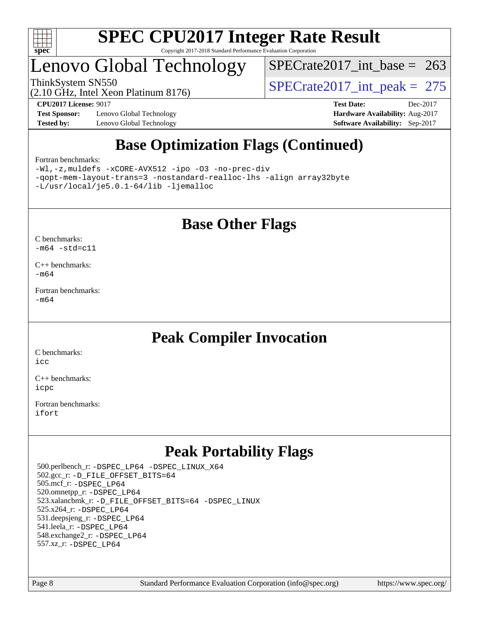

## enovo Global Technology

[SPECrate2017\\_int\\_base =](http://www.spec.org/auto/cpu2017/Docs/result-fields.html#SPECrate2017intbase) 263

(2.10 GHz, Intel Xeon Platinum 8176)

ThinkSystem SN550<br>(2.10 GHz, Intel Xeon Platinum 8176) [SPECrate2017\\_int\\_peak =](http://www.spec.org/auto/cpu2017/Docs/result-fields.html#SPECrate2017intpeak) 275

**[Test Sponsor:](http://www.spec.org/auto/cpu2017/Docs/result-fields.html#TestSponsor)** Lenovo Global Technology **[Hardware Availability:](http://www.spec.org/auto/cpu2017/Docs/result-fields.html#HardwareAvailability)** Aug-2017 **[Tested by:](http://www.spec.org/auto/cpu2017/Docs/result-fields.html#Testedby)** Lenovo Global Technology **[Software Availability:](http://www.spec.org/auto/cpu2017/Docs/result-fields.html#SoftwareAvailability)** Sep-2017

**[CPU2017 License:](http://www.spec.org/auto/cpu2017/Docs/result-fields.html#CPU2017License)** 9017 **[Test Date:](http://www.spec.org/auto/cpu2017/Docs/result-fields.html#TestDate)** Dec-2017

### **[Base Optimization Flags \(Continued\)](http://www.spec.org/auto/cpu2017/Docs/result-fields.html#BaseOptimizationFlags)**

#### [Fortran benchmarks](http://www.spec.org/auto/cpu2017/Docs/result-fields.html#Fortranbenchmarks):

[-Wl,-z,muldefs](http://www.spec.org/cpu2017/results/res2018q1/cpu2017-20180108-02585.flags.html#user_FCbase_link_force_multiple1_b4cbdb97b34bdee9ceefcfe54f4c8ea74255f0b02a4b23e853cdb0e18eb4525ac79b5a88067c842dd0ee6996c24547a27a4b99331201badda8798ef8a743f577) [-xCORE-AVX512](http://www.spec.org/cpu2017/results/res2018q1/cpu2017-20180108-02585.flags.html#user_FCbase_f-xCORE-AVX512) [-ipo](http://www.spec.org/cpu2017/results/res2018q1/cpu2017-20180108-02585.flags.html#user_FCbase_f-ipo) [-O3](http://www.spec.org/cpu2017/results/res2018q1/cpu2017-20180108-02585.flags.html#user_FCbase_f-O3) [-no-prec-div](http://www.spec.org/cpu2017/results/res2018q1/cpu2017-20180108-02585.flags.html#user_FCbase_f-no-prec-div) [-qopt-mem-layout-trans=3](http://www.spec.org/cpu2017/results/res2018q1/cpu2017-20180108-02585.flags.html#user_FCbase_f-qopt-mem-layout-trans_de80db37974c74b1f0e20d883f0b675c88c3b01e9d123adea9b28688d64333345fb62bc4a798493513fdb68f60282f9a726aa07f478b2f7113531aecce732043) [-nostandard-realloc-lhs](http://www.spec.org/cpu2017/results/res2018q1/cpu2017-20180108-02585.flags.html#user_FCbase_f_2003_std_realloc_82b4557e90729c0f113870c07e44d33d6f5a304b4f63d4c15d2d0f1fab99f5daaed73bdb9275d9ae411527f28b936061aa8b9c8f2d63842963b95c9dd6426b8a) [-align array32byte](http://www.spec.org/cpu2017/results/res2018q1/cpu2017-20180108-02585.flags.html#user_FCbase_align_array32byte_b982fe038af199962ba9a80c053b8342c548c85b40b8e86eb3cc33dee0d7986a4af373ac2d51c3f7cf710a18d62fdce2948f201cd044323541f22fc0fffc51b6) [-L/usr/local/je5.0.1-64/lib](http://www.spec.org/cpu2017/results/res2018q1/cpu2017-20180108-02585.flags.html#user_FCbase_jemalloc_link_path64_4b10a636b7bce113509b17f3bd0d6226c5fb2346b9178c2d0232c14f04ab830f976640479e5c33dc2bcbbdad86ecfb6634cbbd4418746f06f368b512fced5394) [-ljemalloc](http://www.spec.org/cpu2017/results/res2018q1/cpu2017-20180108-02585.flags.html#user_FCbase_jemalloc_link_lib_d1249b907c500fa1c0672f44f562e3d0f79738ae9e3c4a9c376d49f265a04b9c99b167ecedbf6711b3085be911c67ff61f150a17b3472be731631ba4d0471706)

### **[Base Other Flags](http://www.spec.org/auto/cpu2017/Docs/result-fields.html#BaseOtherFlags)**

[C benchmarks](http://www.spec.org/auto/cpu2017/Docs/result-fields.html#Cbenchmarks):  $-m64 - std= c11$  $-m64 - std= c11$ 

[C++ benchmarks:](http://www.spec.org/auto/cpu2017/Docs/result-fields.html#CXXbenchmarks) [-m64](http://www.spec.org/cpu2017/results/res2018q1/cpu2017-20180108-02585.flags.html#user_CXXbase_intel_intel64_18.0_af43caccfc8ded86e7699f2159af6efc7655f51387b94da716254467f3c01020a5059329e2569e4053f409e7c9202a7efc638f7a6d1ffb3f52dea4a3e31d82ab)

[Fortran benchmarks](http://www.spec.org/auto/cpu2017/Docs/result-fields.html#Fortranbenchmarks): [-m64](http://www.spec.org/cpu2017/results/res2018q1/cpu2017-20180108-02585.flags.html#user_FCbase_intel_intel64_18.0_af43caccfc8ded86e7699f2159af6efc7655f51387b94da716254467f3c01020a5059329e2569e4053f409e7c9202a7efc638f7a6d1ffb3f52dea4a3e31d82ab)

### **[Peak Compiler Invocation](http://www.spec.org/auto/cpu2017/Docs/result-fields.html#PeakCompilerInvocation)**

[C benchmarks](http://www.spec.org/auto/cpu2017/Docs/result-fields.html#Cbenchmarks): [icc](http://www.spec.org/cpu2017/results/res2018q1/cpu2017-20180108-02585.flags.html#user_CCpeak_intel_icc_18.0_66fc1ee009f7361af1fbd72ca7dcefbb700085f36577c54f309893dd4ec40d12360134090235512931783d35fd58c0460139e722d5067c5574d8eaf2b3e37e92)

[C++ benchmarks:](http://www.spec.org/auto/cpu2017/Docs/result-fields.html#CXXbenchmarks) [icpc](http://www.spec.org/cpu2017/results/res2018q1/cpu2017-20180108-02585.flags.html#user_CXXpeak_intel_icpc_18.0_c510b6838c7f56d33e37e94d029a35b4a7bccf4766a728ee175e80a419847e808290a9b78be685c44ab727ea267ec2f070ec5dc83b407c0218cded6866a35d07)

[Fortran benchmarks](http://www.spec.org/auto/cpu2017/Docs/result-fields.html#Fortranbenchmarks): [ifort](http://www.spec.org/cpu2017/results/res2018q1/cpu2017-20180108-02585.flags.html#user_FCpeak_intel_ifort_18.0_8111460550e3ca792625aed983ce982f94888b8b503583aa7ba2b8303487b4d8a21a13e7191a45c5fd58ff318f48f9492884d4413fa793fd88dd292cad7027ca)

### **[Peak Portability Flags](http://www.spec.org/auto/cpu2017/Docs/result-fields.html#PeakPortabilityFlags)**

 500.perlbench\_r: [-DSPEC\\_LP64](http://www.spec.org/cpu2017/results/res2018q1/cpu2017-20180108-02585.flags.html#b500.perlbench_r_peakPORTABILITY_DSPEC_LP64) [-DSPEC\\_LINUX\\_X64](http://www.spec.org/cpu2017/results/res2018q1/cpu2017-20180108-02585.flags.html#b500.perlbench_r_peakCPORTABILITY_DSPEC_LINUX_X64) 502.gcc\_r: [-D\\_FILE\\_OFFSET\\_BITS=64](http://www.spec.org/cpu2017/results/res2018q1/cpu2017-20180108-02585.flags.html#user_peakPORTABILITY502_gcc_r_file_offset_bits_64_5ae949a99b284ddf4e95728d47cb0843d81b2eb0e18bdfe74bbf0f61d0b064f4bda2f10ea5eb90e1dcab0e84dbc592acfc5018bc955c18609f94ddb8d550002c) 505.mcf\_r: [-DSPEC\\_LP64](http://www.spec.org/cpu2017/results/res2018q1/cpu2017-20180108-02585.flags.html#suite_peakPORTABILITY505_mcf_r_DSPEC_LP64) 520.omnetpp\_r: [-DSPEC\\_LP64](http://www.spec.org/cpu2017/results/res2018q1/cpu2017-20180108-02585.flags.html#suite_peakPORTABILITY520_omnetpp_r_DSPEC_LP64) 523.xalancbmk\_r: [-D\\_FILE\\_OFFSET\\_BITS=64](http://www.spec.org/cpu2017/results/res2018q1/cpu2017-20180108-02585.flags.html#user_peakPORTABILITY523_xalancbmk_r_file_offset_bits_64_5ae949a99b284ddf4e95728d47cb0843d81b2eb0e18bdfe74bbf0f61d0b064f4bda2f10ea5eb90e1dcab0e84dbc592acfc5018bc955c18609f94ddb8d550002c) [-DSPEC\\_LINUX](http://www.spec.org/cpu2017/results/res2018q1/cpu2017-20180108-02585.flags.html#b523.xalancbmk_r_peakCXXPORTABILITY_DSPEC_LINUX) 525.x264\_r: [-DSPEC\\_LP64](http://www.spec.org/cpu2017/results/res2018q1/cpu2017-20180108-02585.flags.html#suite_peakPORTABILITY525_x264_r_DSPEC_LP64) 531.deepsjeng\_r: [-DSPEC\\_LP64](http://www.spec.org/cpu2017/results/res2018q1/cpu2017-20180108-02585.flags.html#suite_peakPORTABILITY531_deepsjeng_r_DSPEC_LP64) 541.leela\_r: [-DSPEC\\_LP64](http://www.spec.org/cpu2017/results/res2018q1/cpu2017-20180108-02585.flags.html#suite_peakPORTABILITY541_leela_r_DSPEC_LP64) 548.exchange2\_r: [-DSPEC\\_LP64](http://www.spec.org/cpu2017/results/res2018q1/cpu2017-20180108-02585.flags.html#suite_peakPORTABILITY548_exchange2_r_DSPEC_LP64) 557.xz\_r: [-DSPEC\\_LP64](http://www.spec.org/cpu2017/results/res2018q1/cpu2017-20180108-02585.flags.html#suite_peakPORTABILITY557_xz_r_DSPEC_LP64)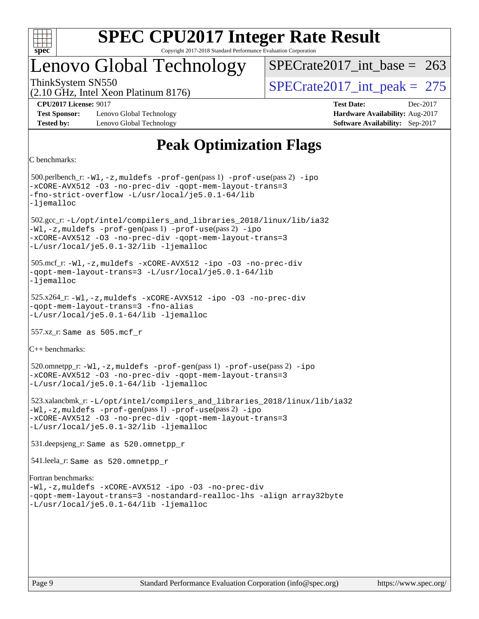

### Lenovo Global Technology

ThinkSystem SN550<br>  $\angle (2.10 \text{ GHz. Intel Yoon Plotinum } 8176)$  [SPECrate2017\\_int\\_peak =](http://www.spec.org/auto/cpu2017/Docs/result-fields.html#SPECrate2017intpeak) 275  $SPECrate2017\_int\_base = 263$ 

(2.10 GHz, Intel Xeon Platinum 8176)

**[Test Sponsor:](http://www.spec.org/auto/cpu2017/Docs/result-fields.html#TestSponsor)** Lenovo Global Technology **[Hardware Availability:](http://www.spec.org/auto/cpu2017/Docs/result-fields.html#HardwareAvailability)** Aug-2017 **[Tested by:](http://www.spec.org/auto/cpu2017/Docs/result-fields.html#Testedby)** Lenovo Global Technology **[Software Availability:](http://www.spec.org/auto/cpu2017/Docs/result-fields.html#SoftwareAvailability)** Sep-2017

**[CPU2017 License:](http://www.spec.org/auto/cpu2017/Docs/result-fields.html#CPU2017License)** 9017 **[Test Date:](http://www.spec.org/auto/cpu2017/Docs/result-fields.html#TestDate)** Dec-2017

### **[Peak Optimization Flags](http://www.spec.org/auto/cpu2017/Docs/result-fields.html#PeakOptimizationFlags)**

[C benchmarks:](http://www.spec.org/auto/cpu2017/Docs/result-fields.html#Cbenchmarks)

 500.perlbench\_r: [-Wl,-z,muldefs](http://www.spec.org/cpu2017/results/res2018q1/cpu2017-20180108-02585.flags.html#user_peakEXTRA_LDFLAGS500_perlbench_r_link_force_multiple1_b4cbdb97b34bdee9ceefcfe54f4c8ea74255f0b02a4b23e853cdb0e18eb4525ac79b5a88067c842dd0ee6996c24547a27a4b99331201badda8798ef8a743f577) [-prof-gen](http://www.spec.org/cpu2017/results/res2018q1/cpu2017-20180108-02585.flags.html#user_peakPASS1_CFLAGSPASS1_LDFLAGS500_perlbench_r_prof_gen_5aa4926d6013ddb2a31985c654b3eb18169fc0c6952a63635c234f711e6e63dd76e94ad52365559451ec499a2cdb89e4dc58ba4c67ef54ca681ffbe1461d6b36)(pass 1) [-prof-use](http://www.spec.org/cpu2017/results/res2018q1/cpu2017-20180108-02585.flags.html#user_peakPASS2_CFLAGSPASS2_LDFLAGS500_perlbench_r_prof_use_1a21ceae95f36a2b53c25747139a6c16ca95bd9def2a207b4f0849963b97e94f5260e30a0c64f4bb623698870e679ca08317ef8150905d41bd88c6f78df73f19)(pass 2) [-ipo](http://www.spec.org/cpu2017/results/res2018q1/cpu2017-20180108-02585.flags.html#user_peakPASS1_COPTIMIZEPASS2_COPTIMIZE500_perlbench_r_f-ipo) [-xCORE-AVX512](http://www.spec.org/cpu2017/results/res2018q1/cpu2017-20180108-02585.flags.html#user_peakPASS2_COPTIMIZE500_perlbench_r_f-xCORE-AVX512) [-O3](http://www.spec.org/cpu2017/results/res2018q1/cpu2017-20180108-02585.flags.html#user_peakPASS1_COPTIMIZEPASS2_COPTIMIZE500_perlbench_r_f-O3) [-no-prec-div](http://www.spec.org/cpu2017/results/res2018q1/cpu2017-20180108-02585.flags.html#user_peakPASS1_COPTIMIZEPASS2_COPTIMIZE500_perlbench_r_f-no-prec-div) [-qopt-mem-layout-trans=3](http://www.spec.org/cpu2017/results/res2018q1/cpu2017-20180108-02585.flags.html#user_peakPASS1_COPTIMIZEPASS2_COPTIMIZE500_perlbench_r_f-qopt-mem-layout-trans_de80db37974c74b1f0e20d883f0b675c88c3b01e9d123adea9b28688d64333345fb62bc4a798493513fdb68f60282f9a726aa07f478b2f7113531aecce732043) [-fno-strict-overflow](http://www.spec.org/cpu2017/results/res2018q1/cpu2017-20180108-02585.flags.html#user_peakEXTRA_OPTIMIZE500_perlbench_r_f-fno-strict-overflow) [-L/usr/local/je5.0.1-64/lib](http://www.spec.org/cpu2017/results/res2018q1/cpu2017-20180108-02585.flags.html#user_peakEXTRA_LIBS500_perlbench_r_jemalloc_link_path64_4b10a636b7bce113509b17f3bd0d6226c5fb2346b9178c2d0232c14f04ab830f976640479e5c33dc2bcbbdad86ecfb6634cbbd4418746f06f368b512fced5394) [-ljemalloc](http://www.spec.org/cpu2017/results/res2018q1/cpu2017-20180108-02585.flags.html#user_peakEXTRA_LIBS500_perlbench_r_jemalloc_link_lib_d1249b907c500fa1c0672f44f562e3d0f79738ae9e3c4a9c376d49f265a04b9c99b167ecedbf6711b3085be911c67ff61f150a17b3472be731631ba4d0471706) 502.gcc\_r: [-L/opt/intel/compilers\\_and\\_libraries\\_2018/linux/lib/ia32](http://www.spec.org/cpu2017/results/res2018q1/cpu2017-20180108-02585.flags.html#user_peakCCLD502_gcc_r_Enable-32bit-runtime_af243bdb1d79e4c7a4f720bf8275e627de2ecd461de63307bc14cef0633fde3cd7bb2facb32dcc8be9566045fb55d40ce2b72b725f73827aa7833441b71b9343) [-Wl,-z,muldefs](http://www.spec.org/cpu2017/results/res2018q1/cpu2017-20180108-02585.flags.html#user_peakEXTRA_LDFLAGS502_gcc_r_link_force_multiple1_b4cbdb97b34bdee9ceefcfe54f4c8ea74255f0b02a4b23e853cdb0e18eb4525ac79b5a88067c842dd0ee6996c24547a27a4b99331201badda8798ef8a743f577) [-prof-gen](http://www.spec.org/cpu2017/results/res2018q1/cpu2017-20180108-02585.flags.html#user_peakPASS1_CFLAGSPASS1_LDFLAGS502_gcc_r_prof_gen_5aa4926d6013ddb2a31985c654b3eb18169fc0c6952a63635c234f711e6e63dd76e94ad52365559451ec499a2cdb89e4dc58ba4c67ef54ca681ffbe1461d6b36)(pass 1) [-prof-use](http://www.spec.org/cpu2017/results/res2018q1/cpu2017-20180108-02585.flags.html#user_peakPASS2_CFLAGSPASS2_LDFLAGS502_gcc_r_prof_use_1a21ceae95f36a2b53c25747139a6c16ca95bd9def2a207b4f0849963b97e94f5260e30a0c64f4bb623698870e679ca08317ef8150905d41bd88c6f78df73f19)(pass 2) [-ipo](http://www.spec.org/cpu2017/results/res2018q1/cpu2017-20180108-02585.flags.html#user_peakPASS1_COPTIMIZEPASS2_COPTIMIZE502_gcc_r_f-ipo) [-xCORE-AVX512](http://www.spec.org/cpu2017/results/res2018q1/cpu2017-20180108-02585.flags.html#user_peakPASS2_COPTIMIZE502_gcc_r_f-xCORE-AVX512) [-O3](http://www.spec.org/cpu2017/results/res2018q1/cpu2017-20180108-02585.flags.html#user_peakPASS1_COPTIMIZEPASS2_COPTIMIZE502_gcc_r_f-O3) [-no-prec-div](http://www.spec.org/cpu2017/results/res2018q1/cpu2017-20180108-02585.flags.html#user_peakPASS1_COPTIMIZEPASS2_COPTIMIZE502_gcc_r_f-no-prec-div) [-qopt-mem-layout-trans=3](http://www.spec.org/cpu2017/results/res2018q1/cpu2017-20180108-02585.flags.html#user_peakPASS1_COPTIMIZEPASS2_COPTIMIZE502_gcc_r_f-qopt-mem-layout-trans_de80db37974c74b1f0e20d883f0b675c88c3b01e9d123adea9b28688d64333345fb62bc4a798493513fdb68f60282f9a726aa07f478b2f7113531aecce732043) [-L/usr/local/je5.0.1-32/lib](http://www.spec.org/cpu2017/results/res2018q1/cpu2017-20180108-02585.flags.html#user_peakEXTRA_LIBS502_gcc_r_jemalloc_link_path32_e29f22e8e6c17053bbc6a0971f5a9c01a601a06bb1a59df2084b77a2fe0a2995b64fd4256feaeea39eeba3aae142e96e2b2b0a28974019c0c0c88139a84f900a) [-ljemalloc](http://www.spec.org/cpu2017/results/res2018q1/cpu2017-20180108-02585.flags.html#user_peakEXTRA_LIBS502_gcc_r_jemalloc_link_lib_d1249b907c500fa1c0672f44f562e3d0f79738ae9e3c4a9c376d49f265a04b9c99b167ecedbf6711b3085be911c67ff61f150a17b3472be731631ba4d0471706) 505.mcf\_r: [-Wl,-z,muldefs](http://www.spec.org/cpu2017/results/res2018q1/cpu2017-20180108-02585.flags.html#user_peakEXTRA_LDFLAGS505_mcf_r_link_force_multiple1_b4cbdb97b34bdee9ceefcfe54f4c8ea74255f0b02a4b23e853cdb0e18eb4525ac79b5a88067c842dd0ee6996c24547a27a4b99331201badda8798ef8a743f577) [-xCORE-AVX512](http://www.spec.org/cpu2017/results/res2018q1/cpu2017-20180108-02585.flags.html#user_peakCOPTIMIZE505_mcf_r_f-xCORE-AVX512) [-ipo](http://www.spec.org/cpu2017/results/res2018q1/cpu2017-20180108-02585.flags.html#user_peakCOPTIMIZE505_mcf_r_f-ipo) [-O3](http://www.spec.org/cpu2017/results/res2018q1/cpu2017-20180108-02585.flags.html#user_peakCOPTIMIZE505_mcf_r_f-O3) [-no-prec-div](http://www.spec.org/cpu2017/results/res2018q1/cpu2017-20180108-02585.flags.html#user_peakCOPTIMIZE505_mcf_r_f-no-prec-div) [-qopt-mem-layout-trans=3](http://www.spec.org/cpu2017/results/res2018q1/cpu2017-20180108-02585.flags.html#user_peakCOPTIMIZE505_mcf_r_f-qopt-mem-layout-trans_de80db37974c74b1f0e20d883f0b675c88c3b01e9d123adea9b28688d64333345fb62bc4a798493513fdb68f60282f9a726aa07f478b2f7113531aecce732043) [-L/usr/local/je5.0.1-64/lib](http://www.spec.org/cpu2017/results/res2018q1/cpu2017-20180108-02585.flags.html#user_peakEXTRA_LIBS505_mcf_r_jemalloc_link_path64_4b10a636b7bce113509b17f3bd0d6226c5fb2346b9178c2d0232c14f04ab830f976640479e5c33dc2bcbbdad86ecfb6634cbbd4418746f06f368b512fced5394) [-ljemalloc](http://www.spec.org/cpu2017/results/res2018q1/cpu2017-20180108-02585.flags.html#user_peakEXTRA_LIBS505_mcf_r_jemalloc_link_lib_d1249b907c500fa1c0672f44f562e3d0f79738ae9e3c4a9c376d49f265a04b9c99b167ecedbf6711b3085be911c67ff61f150a17b3472be731631ba4d0471706) 525.x264\_r: [-Wl,-z,muldefs](http://www.spec.org/cpu2017/results/res2018q1/cpu2017-20180108-02585.flags.html#user_peakEXTRA_LDFLAGS525_x264_r_link_force_multiple1_b4cbdb97b34bdee9ceefcfe54f4c8ea74255f0b02a4b23e853cdb0e18eb4525ac79b5a88067c842dd0ee6996c24547a27a4b99331201badda8798ef8a743f577) [-xCORE-AVX512](http://www.spec.org/cpu2017/results/res2018q1/cpu2017-20180108-02585.flags.html#user_peakCOPTIMIZE525_x264_r_f-xCORE-AVX512) [-ipo](http://www.spec.org/cpu2017/results/res2018q1/cpu2017-20180108-02585.flags.html#user_peakCOPTIMIZE525_x264_r_f-ipo) [-O3](http://www.spec.org/cpu2017/results/res2018q1/cpu2017-20180108-02585.flags.html#user_peakCOPTIMIZE525_x264_r_f-O3) [-no-prec-div](http://www.spec.org/cpu2017/results/res2018q1/cpu2017-20180108-02585.flags.html#user_peakCOPTIMIZE525_x264_r_f-no-prec-div) [-qopt-mem-layout-trans=3](http://www.spec.org/cpu2017/results/res2018q1/cpu2017-20180108-02585.flags.html#user_peakCOPTIMIZE525_x264_r_f-qopt-mem-layout-trans_de80db37974c74b1f0e20d883f0b675c88c3b01e9d123adea9b28688d64333345fb62bc4a798493513fdb68f60282f9a726aa07f478b2f7113531aecce732043) [-fno-alias](http://www.spec.org/cpu2017/results/res2018q1/cpu2017-20180108-02585.flags.html#user_peakEXTRA_OPTIMIZE525_x264_r_f-no-alias_77dbac10d91cbfe898fbf4a29d1b29b694089caa623bdd1baccc9957d4edbe8d106c0b357e2748a65b44fc9e83d78098bb898077f3fe92f9faf24f7bd4a07ed7) [-L/usr/local/je5.0.1-64/lib](http://www.spec.org/cpu2017/results/res2018q1/cpu2017-20180108-02585.flags.html#user_peakEXTRA_LIBS525_x264_r_jemalloc_link_path64_4b10a636b7bce113509b17f3bd0d6226c5fb2346b9178c2d0232c14f04ab830f976640479e5c33dc2bcbbdad86ecfb6634cbbd4418746f06f368b512fced5394) [-ljemalloc](http://www.spec.org/cpu2017/results/res2018q1/cpu2017-20180108-02585.flags.html#user_peakEXTRA_LIBS525_x264_r_jemalloc_link_lib_d1249b907c500fa1c0672f44f562e3d0f79738ae9e3c4a9c376d49f265a04b9c99b167ecedbf6711b3085be911c67ff61f150a17b3472be731631ba4d0471706) 557.xz\_r: Same as 505.mcf\_r [C++ benchmarks](http://www.spec.org/auto/cpu2017/Docs/result-fields.html#CXXbenchmarks): 520.omnetpp\_r: [-Wl,-z,muldefs](http://www.spec.org/cpu2017/results/res2018q1/cpu2017-20180108-02585.flags.html#user_peakEXTRA_LDFLAGS520_omnetpp_r_link_force_multiple1_b4cbdb97b34bdee9ceefcfe54f4c8ea74255f0b02a4b23e853cdb0e18eb4525ac79b5a88067c842dd0ee6996c24547a27a4b99331201badda8798ef8a743f577) [-prof-gen](http://www.spec.org/cpu2017/results/res2018q1/cpu2017-20180108-02585.flags.html#user_peakPASS1_CXXFLAGSPASS1_LDFLAGS520_omnetpp_r_prof_gen_5aa4926d6013ddb2a31985c654b3eb18169fc0c6952a63635c234f711e6e63dd76e94ad52365559451ec499a2cdb89e4dc58ba4c67ef54ca681ffbe1461d6b36)(pass 1) [-prof-use](http://www.spec.org/cpu2017/results/res2018q1/cpu2017-20180108-02585.flags.html#user_peakPASS2_CXXFLAGSPASS2_LDFLAGS520_omnetpp_r_prof_use_1a21ceae95f36a2b53c25747139a6c16ca95bd9def2a207b4f0849963b97e94f5260e30a0c64f4bb623698870e679ca08317ef8150905d41bd88c6f78df73f19)(pass 2) [-ipo](http://www.spec.org/cpu2017/results/res2018q1/cpu2017-20180108-02585.flags.html#user_peakPASS1_CXXOPTIMIZEPASS2_CXXOPTIMIZE520_omnetpp_r_f-ipo) [-xCORE-AVX512](http://www.spec.org/cpu2017/results/res2018q1/cpu2017-20180108-02585.flags.html#user_peakPASS2_CXXOPTIMIZE520_omnetpp_r_f-xCORE-AVX512) [-O3](http://www.spec.org/cpu2017/results/res2018q1/cpu2017-20180108-02585.flags.html#user_peakPASS1_CXXOPTIMIZEPASS2_CXXOPTIMIZE520_omnetpp_r_f-O3) [-no-prec-div](http://www.spec.org/cpu2017/results/res2018q1/cpu2017-20180108-02585.flags.html#user_peakPASS1_CXXOPTIMIZEPASS2_CXXOPTIMIZE520_omnetpp_r_f-no-prec-div) [-qopt-mem-layout-trans=3](http://www.spec.org/cpu2017/results/res2018q1/cpu2017-20180108-02585.flags.html#user_peakPASS1_CXXOPTIMIZEPASS2_CXXOPTIMIZE520_omnetpp_r_f-qopt-mem-layout-trans_de80db37974c74b1f0e20d883f0b675c88c3b01e9d123adea9b28688d64333345fb62bc4a798493513fdb68f60282f9a726aa07f478b2f7113531aecce732043) [-L/usr/local/je5.0.1-64/lib](http://www.spec.org/cpu2017/results/res2018q1/cpu2017-20180108-02585.flags.html#user_peakEXTRA_LIBS520_omnetpp_r_jemalloc_link_path64_4b10a636b7bce113509b17f3bd0d6226c5fb2346b9178c2d0232c14f04ab830f976640479e5c33dc2bcbbdad86ecfb6634cbbd4418746f06f368b512fced5394) [-ljemalloc](http://www.spec.org/cpu2017/results/res2018q1/cpu2017-20180108-02585.flags.html#user_peakEXTRA_LIBS520_omnetpp_r_jemalloc_link_lib_d1249b907c500fa1c0672f44f562e3d0f79738ae9e3c4a9c376d49f265a04b9c99b167ecedbf6711b3085be911c67ff61f150a17b3472be731631ba4d0471706) 523.xalancbmk\_r: [-L/opt/intel/compilers\\_and\\_libraries\\_2018/linux/lib/ia32](http://www.spec.org/cpu2017/results/res2018q1/cpu2017-20180108-02585.flags.html#user_peakCXXLD523_xalancbmk_r_Enable-32bit-runtime_af243bdb1d79e4c7a4f720bf8275e627de2ecd461de63307bc14cef0633fde3cd7bb2facb32dcc8be9566045fb55d40ce2b72b725f73827aa7833441b71b9343) [-Wl,-z,muldefs](http://www.spec.org/cpu2017/results/res2018q1/cpu2017-20180108-02585.flags.html#user_peakEXTRA_LDFLAGS523_xalancbmk_r_link_force_multiple1_b4cbdb97b34bdee9ceefcfe54f4c8ea74255f0b02a4b23e853cdb0e18eb4525ac79b5a88067c842dd0ee6996c24547a27a4b99331201badda8798ef8a743f577) [-prof-gen](http://www.spec.org/cpu2017/results/res2018q1/cpu2017-20180108-02585.flags.html#user_peakPASS1_CXXFLAGSPASS1_LDFLAGS523_xalancbmk_r_prof_gen_5aa4926d6013ddb2a31985c654b3eb18169fc0c6952a63635c234f711e6e63dd76e94ad52365559451ec499a2cdb89e4dc58ba4c67ef54ca681ffbe1461d6b36)(pass 1) [-prof-use](http://www.spec.org/cpu2017/results/res2018q1/cpu2017-20180108-02585.flags.html#user_peakPASS2_CXXFLAGSPASS2_LDFLAGS523_xalancbmk_r_prof_use_1a21ceae95f36a2b53c25747139a6c16ca95bd9def2a207b4f0849963b97e94f5260e30a0c64f4bb623698870e679ca08317ef8150905d41bd88c6f78df73f19)(pass 2) [-ipo](http://www.spec.org/cpu2017/results/res2018q1/cpu2017-20180108-02585.flags.html#user_peakPASS1_CXXOPTIMIZEPASS2_CXXOPTIMIZE523_xalancbmk_r_f-ipo) [-xCORE-AVX512](http://www.spec.org/cpu2017/results/res2018q1/cpu2017-20180108-02585.flags.html#user_peakPASS2_CXXOPTIMIZE523_xalancbmk_r_f-xCORE-AVX512) [-O3](http://www.spec.org/cpu2017/results/res2018q1/cpu2017-20180108-02585.flags.html#user_peakPASS1_CXXOPTIMIZEPASS2_CXXOPTIMIZE523_xalancbmk_r_f-O3) [-no-prec-div](http://www.spec.org/cpu2017/results/res2018q1/cpu2017-20180108-02585.flags.html#user_peakPASS1_CXXOPTIMIZEPASS2_CXXOPTIMIZE523_xalancbmk_r_f-no-prec-div) [-qopt-mem-layout-trans=3](http://www.spec.org/cpu2017/results/res2018q1/cpu2017-20180108-02585.flags.html#user_peakPASS1_CXXOPTIMIZEPASS2_CXXOPTIMIZE523_xalancbmk_r_f-qopt-mem-layout-trans_de80db37974c74b1f0e20d883f0b675c88c3b01e9d123adea9b28688d64333345fb62bc4a798493513fdb68f60282f9a726aa07f478b2f7113531aecce732043) [-L/usr/local/je5.0.1-32/lib](http://www.spec.org/cpu2017/results/res2018q1/cpu2017-20180108-02585.flags.html#user_peakEXTRA_LIBS523_xalancbmk_r_jemalloc_link_path32_e29f22e8e6c17053bbc6a0971f5a9c01a601a06bb1a59df2084b77a2fe0a2995b64fd4256feaeea39eeba3aae142e96e2b2b0a28974019c0c0c88139a84f900a) [-ljemalloc](http://www.spec.org/cpu2017/results/res2018q1/cpu2017-20180108-02585.flags.html#user_peakEXTRA_LIBS523_xalancbmk_r_jemalloc_link_lib_d1249b907c500fa1c0672f44f562e3d0f79738ae9e3c4a9c376d49f265a04b9c99b167ecedbf6711b3085be911c67ff61f150a17b3472be731631ba4d0471706) 531.deepsjeng\_r: Same as 520.omnetpp\_r 541.leela\_r: Same as 520.omnetpp\_r [Fortran benchmarks:](http://www.spec.org/auto/cpu2017/Docs/result-fields.html#Fortranbenchmarks) [-Wl,-z,muldefs](http://www.spec.org/cpu2017/results/res2018q1/cpu2017-20180108-02585.flags.html#user_FCpeak_link_force_multiple1_b4cbdb97b34bdee9ceefcfe54f4c8ea74255f0b02a4b23e853cdb0e18eb4525ac79b5a88067c842dd0ee6996c24547a27a4b99331201badda8798ef8a743f577) [-xCORE-AVX512](http://www.spec.org/cpu2017/results/res2018q1/cpu2017-20180108-02585.flags.html#user_FCpeak_f-xCORE-AVX512) [-ipo](http://www.spec.org/cpu2017/results/res2018q1/cpu2017-20180108-02585.flags.html#user_FCpeak_f-ipo) [-O3](http://www.spec.org/cpu2017/results/res2018q1/cpu2017-20180108-02585.flags.html#user_FCpeak_f-O3) [-no-prec-div](http://www.spec.org/cpu2017/results/res2018q1/cpu2017-20180108-02585.flags.html#user_FCpeak_f-no-prec-div) [-qopt-mem-layout-trans=3](http://www.spec.org/cpu2017/results/res2018q1/cpu2017-20180108-02585.flags.html#user_FCpeak_f-qopt-mem-layout-trans_de80db37974c74b1f0e20d883f0b675c88c3b01e9d123adea9b28688d64333345fb62bc4a798493513fdb68f60282f9a726aa07f478b2f7113531aecce732043) [-nostandard-realloc-lhs](http://www.spec.org/cpu2017/results/res2018q1/cpu2017-20180108-02585.flags.html#user_FCpeak_f_2003_std_realloc_82b4557e90729c0f113870c07e44d33d6f5a304b4f63d4c15d2d0f1fab99f5daaed73bdb9275d9ae411527f28b936061aa8b9c8f2d63842963b95c9dd6426b8a) [-align array32byte](http://www.spec.org/cpu2017/results/res2018q1/cpu2017-20180108-02585.flags.html#user_FCpeak_align_array32byte_b982fe038af199962ba9a80c053b8342c548c85b40b8e86eb3cc33dee0d7986a4af373ac2d51c3f7cf710a18d62fdce2948f201cd044323541f22fc0fffc51b6) [-L/usr/local/je5.0.1-64/lib](http://www.spec.org/cpu2017/results/res2018q1/cpu2017-20180108-02585.flags.html#user_FCpeak_jemalloc_link_path64_4b10a636b7bce113509b17f3bd0d6226c5fb2346b9178c2d0232c14f04ab830f976640479e5c33dc2bcbbdad86ecfb6634cbbd4418746f06f368b512fced5394) [-ljemalloc](http://www.spec.org/cpu2017/results/res2018q1/cpu2017-20180108-02585.flags.html#user_FCpeak_jemalloc_link_lib_d1249b907c500fa1c0672f44f562e3d0f79738ae9e3c4a9c376d49f265a04b9c99b167ecedbf6711b3085be911c67ff61f150a17b3472be731631ba4d0471706)